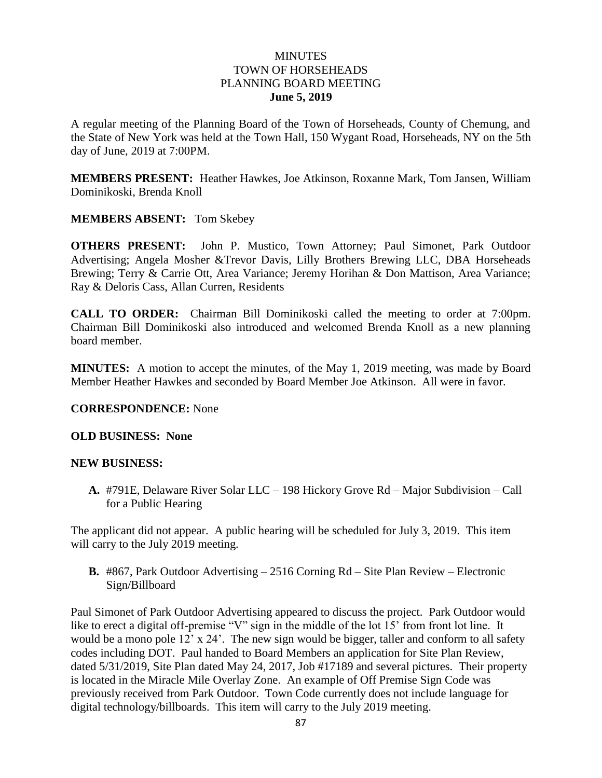### **MINUTES** TOWN OF HORSEHEADS PLANNING BOARD MEETING **June 5, 2019**

A regular meeting of the Planning Board of the Town of Horseheads, County of Chemung, and the State of New York was held at the Town Hall, 150 Wygant Road, Horseheads, NY on the 5th day of June, 2019 at 7:00PM.

**MEMBERS PRESENT:** Heather Hawkes, Joe Atkinson, Roxanne Mark, Tom Jansen, William Dominikoski, Brenda Knoll

### **MEMBERS ABSENT:** Tom Skebey

**OTHERS PRESENT:** John P. Mustico, Town Attorney; Paul Simonet, Park Outdoor Advertising; Angela Mosher &Trevor Davis, Lilly Brothers Brewing LLC, DBA Horseheads Brewing; Terry & Carrie Ott, Area Variance; Jeremy Horihan & Don Mattison, Area Variance; Ray & Deloris Cass, Allan Curren, Residents

**CALL TO ORDER:** Chairman Bill Dominikoski called the meeting to order at 7:00pm. Chairman Bill Dominikoski also introduced and welcomed Brenda Knoll as a new planning board member.

**MINUTES:** A motion to accept the minutes, of the May 1, 2019 meeting, was made by Board Member Heather Hawkes and seconded by Board Member Joe Atkinson. All were in favor.

### **CORRESPONDENCE:** None

### **OLD BUSINESS: None**

### **NEW BUSINESS:**

**A.** #791E, Delaware River Solar LLC – 198 Hickory Grove Rd – Major Subdivision – Call for a Public Hearing

The applicant did not appear. A public hearing will be scheduled for July 3, 2019. This item will carry to the July 2019 meeting.

**B.** #867, Park Outdoor Advertising – 2516 Corning Rd – Site Plan Review – Electronic Sign/Billboard

Paul Simonet of Park Outdoor Advertising appeared to discuss the project. Park Outdoor would like to erect a digital off-premise "V" sign in the middle of the lot 15' from front lot line. It would be a mono pole 12' x 24'. The new sign would be bigger, taller and conform to all safety codes including DOT. Paul handed to Board Members an application for Site Plan Review, dated 5/31/2019, Site Plan dated May 24, 2017, Job #17189 and several pictures. Their property is located in the Miracle Mile Overlay Zone. An example of Off Premise Sign Code was previously received from Park Outdoor. Town Code currently does not include language for digital technology/billboards. This item will carry to the July 2019 meeting.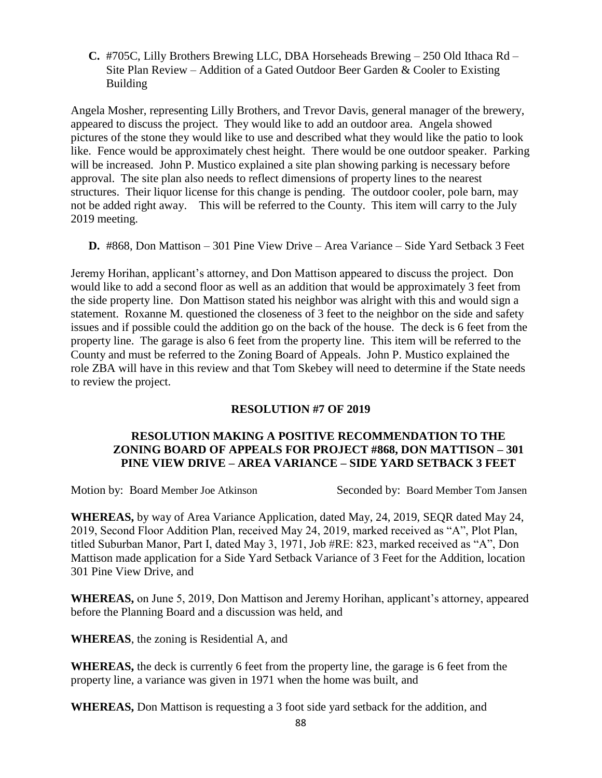**C.** #705C, Lilly Brothers Brewing LLC, DBA Horseheads Brewing – 250 Old Ithaca Rd – Site Plan Review – Addition of a Gated Outdoor Beer Garden & Cooler to Existing Building

Angela Mosher, representing Lilly Brothers, and Trevor Davis, general manager of the brewery, appeared to discuss the project. They would like to add an outdoor area. Angela showed pictures of the stone they would like to use and described what they would like the patio to look like. Fence would be approximately chest height. There would be one outdoor speaker. Parking will be increased. John P. Mustico explained a site plan showing parking is necessary before approval. The site plan also needs to reflect dimensions of property lines to the nearest structures. Their liquor license for this change is pending. The outdoor cooler, pole barn, may not be added right away. This will be referred to the County. This item will carry to the July 2019 meeting.

**D.** #868, Don Mattison – 301 Pine View Drive – Area Variance – Side Yard Setback 3 Feet

Jeremy Horihan, applicant's attorney, and Don Mattison appeared to discuss the project. Don would like to add a second floor as well as an addition that would be approximately 3 feet from the side property line. Don Mattison stated his neighbor was alright with this and would sign a statement. Roxanne M. questioned the closeness of 3 feet to the neighbor on the side and safety issues and if possible could the addition go on the back of the house. The deck is 6 feet from the property line. The garage is also 6 feet from the property line. This item will be referred to the County and must be referred to the Zoning Board of Appeals. John P. Mustico explained the role ZBA will have in this review and that Tom Skebey will need to determine if the State needs to review the project.

### **RESOLUTION #7 OF 2019**

# **RESOLUTION MAKING A POSITIVE RECOMMENDATION TO THE ZONING BOARD OF APPEALS FOR PROJECT #868, DON MATTISON – 301 PINE VIEW DRIVE – AREA VARIANCE – SIDE YARD SETBACK 3 FEET**

Motion by: Board Member Joe Atkinson Seconded by: Board Member Tom Jansen

**WHEREAS,** by way of Area Variance Application, dated May, 24, 2019, SEQR dated May 24, 2019, Second Floor Addition Plan, received May 24, 2019, marked received as "A", Plot Plan, titled Suburban Manor, Part I, dated May 3, 1971, Job #RE: 823, marked received as "A", Don Mattison made application for a Side Yard Setback Variance of 3 Feet for the Addition, location 301 Pine View Drive, and

**WHEREAS,** on June 5, 2019, Don Mattison and Jeremy Horihan, applicant's attorney, appeared before the Planning Board and a discussion was held, and

**WHEREAS**, the zoning is Residential A, and

**WHEREAS,** the deck is currently 6 feet from the property line, the garage is 6 feet from the property line, a variance was given in 1971 when the home was built, and

**WHEREAS,** Don Mattison is requesting a 3 foot side yard setback for the addition, and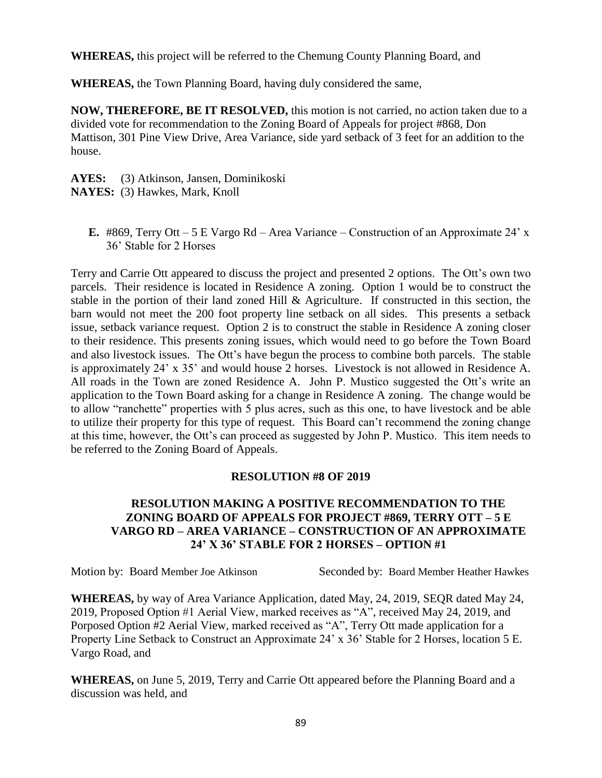**WHEREAS,** this project will be referred to the Chemung County Planning Board, and

**WHEREAS,** the Town Planning Board, having duly considered the same,

**NOW, THEREFORE, BE IT RESOLVED,** this motion is not carried, no action taken due to a divided vote for recommendation to the Zoning Board of Appeals for project #868, Don Mattison, 301 Pine View Drive, Area Variance, side yard setback of 3 feet for an addition to the house.

**AYES:** (3) Atkinson, Jansen, Dominikoski **NAYES:** (3) Hawkes, Mark, Knoll

**E.** #869, Terry Ott – 5 E Vargo Rd – Area Variance – Construction of an Approximate 24' x 36' Stable for 2 Horses

Terry and Carrie Ott appeared to discuss the project and presented 2 options. The Ott's own two parcels. Their residence is located in Residence A zoning. Option 1 would be to construct the stable in the portion of their land zoned Hill & Agriculture. If constructed in this section, the barn would not meet the 200 foot property line setback on all sides. This presents a setback issue, setback variance request. Option 2 is to construct the stable in Residence A zoning closer to their residence. This presents zoning issues, which would need to go before the Town Board and also livestock issues. The Ott's have begun the process to combine both parcels. The stable is approximately 24' x 35' and would house 2 horses. Livestock is not allowed in Residence A. All roads in the Town are zoned Residence A. John P. Mustico suggested the Ott's write an application to the Town Board asking for a change in Residence A zoning. The change would be to allow "ranchette" properties with 5 plus acres, such as this one, to have livestock and be able to utilize their property for this type of request. This Board can't recommend the zoning change at this time, however, the Ott's can proceed as suggested by John P. Mustico. This item needs to be referred to the Zoning Board of Appeals.

### **RESOLUTION #8 OF 2019**

# **RESOLUTION MAKING A POSITIVE RECOMMENDATION TO THE ZONING BOARD OF APPEALS FOR PROJECT #869, TERRY OTT – 5 E VARGO RD – AREA VARIANCE – CONSTRUCTION OF AN APPROXIMATE 24' X 36' STABLE FOR 2 HORSES – OPTION #1**

Motion by: Board Member Joe Atkinson Seconded by: Board Member Heather Hawkes

**WHEREAS,** by way of Area Variance Application, dated May, 24, 2019, SEQR dated May 24, 2019, Proposed Option #1 Aerial View, marked receives as "A", received May 24, 2019, and Porposed Option #2 Aerial View, marked received as "A", Terry Ott made application for a Property Line Setback to Construct an Approximate 24' x 36' Stable for 2 Horses, location 5 E. Vargo Road, and

**WHEREAS,** on June 5, 2019, Terry and Carrie Ott appeared before the Planning Board and a discussion was held, and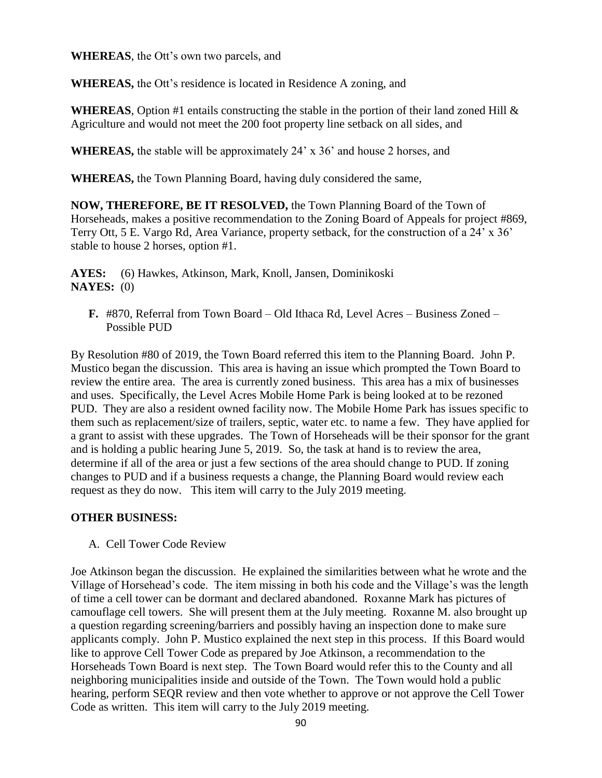**WHEREAS**, the Ott's own two parcels, and

**WHEREAS,** the Ott's residence is located in Residence A zoning, and

**WHEREAS**, Option #1 entails constructing the stable in the portion of their land zoned Hill  $\&$ Agriculture and would not meet the 200 foot property line setback on all sides, and

**WHEREAS,** the stable will be approximately 24' x 36' and house 2 horses, and

**WHEREAS,** the Town Planning Board, having duly considered the same,

**NOW, THEREFORE, BE IT RESOLVED,** the Town Planning Board of the Town of Horseheads, makes a positive recommendation to the Zoning Board of Appeals for project #869, Terry Ott, 5 E. Vargo Rd, Area Variance, property setback, for the construction of a 24' x 36' stable to house 2 horses, option #1.

**AYES:** (6) Hawkes, Atkinson, Mark, Knoll, Jansen, Dominikoski **NAYES:** (0)

**F.** #870, Referral from Town Board – Old Ithaca Rd, Level Acres – Business Zoned – Possible PUD

By Resolution #80 of 2019, the Town Board referred this item to the Planning Board. John P. Mustico began the discussion. This area is having an issue which prompted the Town Board to review the entire area. The area is currently zoned business. This area has a mix of businesses and uses. Specifically, the Level Acres Mobile Home Park is being looked at to be rezoned PUD. They are also a resident owned facility now. The Mobile Home Park has issues specific to them such as replacement/size of trailers, septic, water etc. to name a few. They have applied for a grant to assist with these upgrades. The Town of Horseheads will be their sponsor for the grant and is holding a public hearing June 5, 2019. So, the task at hand is to review the area, determine if all of the area or just a few sections of the area should change to PUD. If zoning changes to PUD and if a business requests a change, the Planning Board would review each request as they do now. This item will carry to the July 2019 meeting.

### **OTHER BUSINESS:**

A. Cell Tower Code Review

Joe Atkinson began the discussion. He explained the similarities between what he wrote and the Village of Horsehead's code. The item missing in both his code and the Village's was the length of time a cell tower can be dormant and declared abandoned. Roxanne Mark has pictures of camouflage cell towers. She will present them at the July meeting. Roxanne M. also brought up a question regarding screening/barriers and possibly having an inspection done to make sure applicants comply. John P. Mustico explained the next step in this process. If this Board would like to approve Cell Tower Code as prepared by Joe Atkinson, a recommendation to the Horseheads Town Board is next step. The Town Board would refer this to the County and all neighboring municipalities inside and outside of the Town. The Town would hold a public hearing, perform SEQR review and then vote whether to approve or not approve the Cell Tower Code as written. This item will carry to the July 2019 meeting.